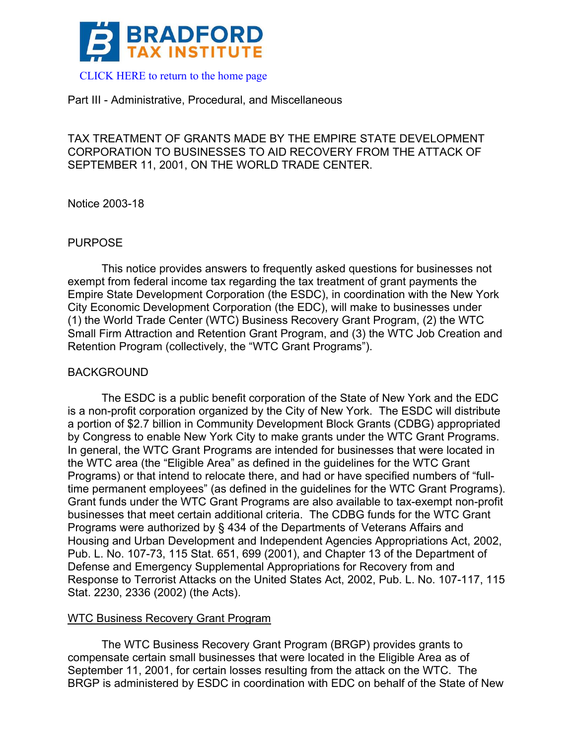

#### Part III - Administrative, Procedural, and Miscellaneous

# TAX TREATMENT OF GRANTS MADE BY THE EMPIRE STATE DEVELOPMENT CORPORATION TO BUSINESSES TO AID RECOVERY FROM THE ATTACK OF SEPTEMBER 11, 2001, ON THE WORLD TRADE CENTER.

Notice 2003-18

## PURPOSE

This notice provides answers to frequently asked questions for businesses not exempt from federal income tax regarding the tax treatment of grant payments the Empire State Development Corporation (the ESDC), in coordination with the New York City Economic Development Corporation (the EDC), will make to businesses under (1) the World Trade Center (WTC) Business Recovery Grant Program, (2) the WTC Small Firm Attraction and Retention Grant Program, and (3) the WTC Job Creation and Retention Program (collectively, the "WTC Grant Programs").

## BACKGROUND

The ESDC is a public benefit corporation of the State of New York and the EDC is a non-profit corporation organized by the City of New York. The ESDC will distribute a portion of \$2.7 billion in Community Development Block Grants (CDBG) appropriated by Congress to enable New York City to make grants under the WTC Grant Programs. In general, the WTC Grant Programs are intended for businesses that were located in the WTC area (the "Eligible Area" as defined in the guidelines for the WTC Grant Programs) or that intend to relocate there, and had or have specified numbers of "fulltime permanent employees" (as defined in the guidelines for the WTC Grant Programs). Grant funds under the WTC Grant Programs are also available to tax-exempt non-profit businesses that meet certain additional criteria. The CDBG funds for the WTC Grant Programs were authorized by § 434 of the Departments of Veterans Affairs and Housing and Urban Development and Independent Agencies Appropriations Act, 2002, Pub. L. No. 107-73, 115 Stat. 651, 699 (2001), and Chapter 13 of the Department of Defense and Emergency Supplemental Appropriations for Recovery from and Response to Terrorist Attacks on the United States Act, 2002, Pub. L. No. 107-117, 115 Stat. 2230, 2336 (2002) (the Acts).

## WTC Business Recovery Grant Program

The WTC Business Recovery Grant Program (BRGP) provides grants to compensate certain small businesses that were located in the Eligible Area as of September 11, 2001, for certain losses resulting from the attack on the WTC. The BRGP is administered by ESDC in coordination with EDC on behalf of the State of New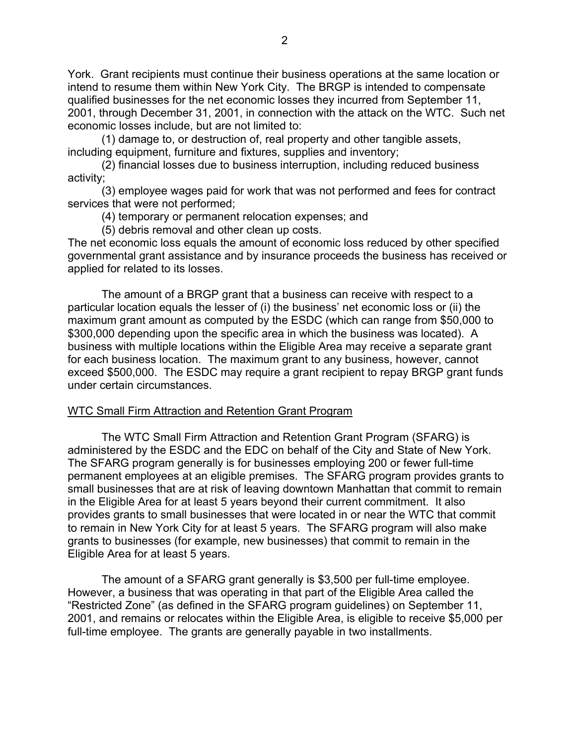York. Grant recipients must continue their business operations at the same location or intend to resume them within New York City. The BRGP is intended to compensate qualified businesses for the net economic losses they incurred from September 11, 2001, through December 31, 2001, in connection with the attack on the WTC. Such net economic losses include, but are not limited to:

(1) damage to, or destruction of, real property and other tangible assets, including equipment, furniture and fixtures, supplies and inventory;

(2) financial losses due to business interruption, including reduced business activity;

(3) employee wages paid for work that was not performed and fees for contract services that were not performed;

(4) temporary or permanent relocation expenses; and

(5) debris removal and other clean up costs.

The net economic loss equals the amount of economic loss reduced by other specified governmental grant assistance and by insurance proceeds the business has received or applied for related to its losses.

The amount of a BRGP grant that a business can receive with respect to a particular location equals the lesser of (i) the business' net economic loss or (ii) the maximum grant amount as computed by the ESDC (which can range from \$50,000 to \$300,000 depending upon the specific area in which the business was located). A business with multiple locations within the Eligible Area may receive a separate grant for each business location. The maximum grant to any business, however, cannot exceed \$500,000. The ESDC may require a grant recipient to repay BRGP grant funds under certain circumstances.

#### WTC Small Firm Attraction and Retention Grant Program

The WTC Small Firm Attraction and Retention Grant Program (SFARG) is administered by the ESDC and the EDC on behalf of the City and State of New York. The SFARG program generally is for businesses employing 200 or fewer full-time permanent employees at an eligible premises. The SFARG program provides grants to small businesses that are at risk of leaving downtown Manhattan that commit to remain in the Eligible Area for at least 5 years beyond their current commitment. It also provides grants to small businesses that were located in or near the WTC that commit to remain in New York City for at least 5 years. The SFARG program will also make grants to businesses (for example, new businesses) that commit to remain in the Eligible Area for at least 5 years.

The amount of a SFARG grant generally is \$3,500 per full-time employee. However, a business that was operating in that part of the Eligible Area called the "Restricted Zone" (as defined in the SFARG program guidelines) on September 11, 2001, and remains or relocates within the Eligible Area, is eligible to receive \$5,000 per full-time employee. The grants are generally payable in two installments.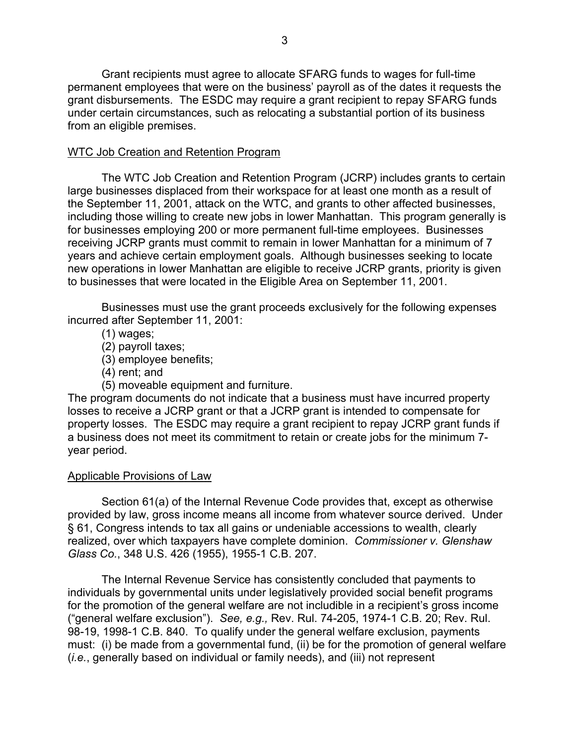Grant recipients must agree to allocate SFARG funds to wages for full-time permanent employees that were on the business' payroll as of the dates it requests the grant disbursements. The ESDC may require a grant recipient to repay SFARG funds under certain circumstances, such as relocating a substantial portion of its business from an eligible premises.

## WTC Job Creation and Retention Program

The WTC Job Creation and Retention Program (JCRP) includes grants to certain large businesses displaced from their workspace for at least one month as a result of the September 11, 2001, attack on the WTC, and grants to other affected businesses, including those willing to create new jobs in lower Manhattan. This program generally is for businesses employing 200 or more permanent full-time employees. Businesses receiving JCRP grants must commit to remain in lower Manhattan for a minimum of 7 years and achieve certain employment goals. Although businesses seeking to locate new operations in lower Manhattan are eligible to receive JCRP grants, priority is given to businesses that were located in the Eligible Area on September 11, 2001.

Businesses must use the grant proceeds exclusively for the following expenses incurred after September 11, 2001:

(1) wages;

(2) payroll taxes;

(3) employee benefits;

(4) rent; and

(5) moveable equipment and furniture.

The program documents do not indicate that a business must have incurred property losses to receive a JCRP grant or that a JCRP grant is intended to compensate for property losses. The ESDC may require a grant recipient to repay JCRP grant funds if a business does not meet its commitment to retain or create jobs for the minimum 7 year period.

## Applicable Provisions of Law

Section 61(a) of the Internal Revenue Code provides that, except as otherwise provided by law, gross income means all income from whatever source derived. Under § 61, Congress intends to tax all gains or undeniable accessions to wealth, clearly realized, over which taxpayers have complete dominion. *Commissioner v. Glenshaw Glass Co.*, 348 U.S. 426 (1955), 1955-1 C.B. 207.

The Internal Revenue Service has consistently concluded that payments to individuals by governmental units under legislatively provided social benefit programs for the promotion of the general welfare are not includible in a recipient's gross income ("general welfare exclusion"). *See, e.g.,* Rev. Rul. 74-205, 1974-1 C.B. 20; Rev. Rul. 98-19, 1998-1 C.B. 840. To qualify under the general welfare exclusion, payments must: (i) be made from a governmental fund, (ii) be for the promotion of general welfare (*i.e.*, generally based on individual or family needs), and (iii) not represent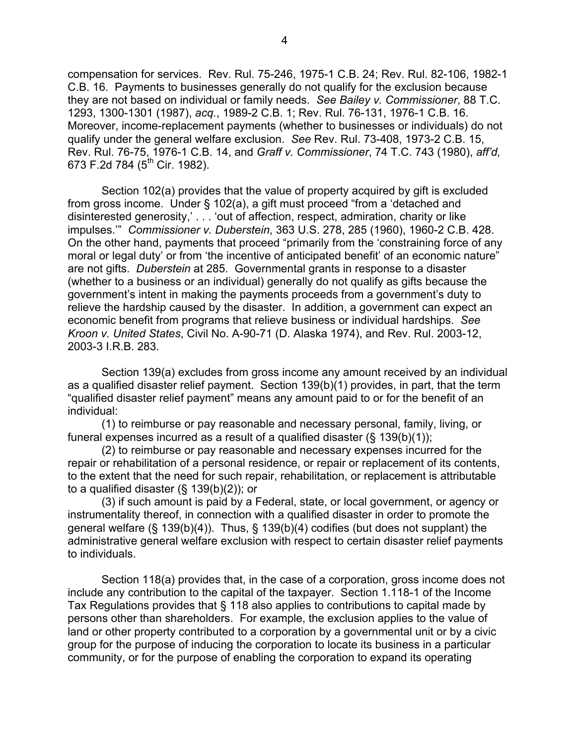compensation for services. Rev. Rul. 75-246, 1975-1 C.B. 24; Rev. Rul. 82-106, 1982-1 C.B. 16. Payments to businesses generally do not qualify for the exclusion because they are not based on individual or family needs. *See Bailey v. Commissioner*, 88 T.C. 1293, 1300-1301 (1987), *acq.*, 1989-2 C.B. 1; Rev. Rul. 76-131, 1976-1 C.B. 16. Moreover, income-replacement payments (whether to businesses or individuals) do not qualify under the general welfare exclusion. *See* Rev. Rul. 73-408, 1973-2 C.B. 15, Rev. Rul. 76-75, 1976-1 C.B. 14, and *Graff v. Commissioner*, 74 T.C. 743 (1980), *aff'd,* 673 F.2d 784 (5<sup>th</sup> Cir. 1982).

Section 102(a) provides that the value of property acquired by gift is excluded from gross income. Under § 102(a), a gift must proceed "from a 'detached and disinterested generosity,' . . . 'out of affection, respect, admiration, charity or like impulses.'" *Commissioner v. Duberstein*, 363 U.S. 278, 285 (1960), 1960-2 C.B. 428. On the other hand, payments that proceed "primarily from the 'constraining force of any moral or legal duty' or from 'the incentive of anticipated benefit' of an economic nature" are not gifts. *Duberstein* at 285. Governmental grants in response to a disaster (whether to a business or an individual) generally do not qualify as gifts because the government's intent in making the payments proceeds from a government's duty to relieve the hardship caused by the disaster. In addition, a government can expect an economic benefit from programs that relieve business or individual hardships. *See Kroon v. United States*, Civil No. A-90-71 (D. Alaska 1974), and Rev. Rul. 2003-12, 2003-3 I.R.B. 283.

Section 139(a) excludes from gross income any amount received by an individual as a qualified disaster relief payment. Section 139(b)(1) provides, in part, that the term "qualified disaster relief payment" means any amount paid to or for the benefit of an individual:

(1) to reimburse or pay reasonable and necessary personal, family, living, or funeral expenses incurred as a result of a qualified disaster  $(\S 139(b)(1));$ 

(2) to reimburse or pay reasonable and necessary expenses incurred for the repair or rehabilitation of a personal residence, or repair or replacement of its contents, to the extent that the need for such repair, rehabilitation, or replacement is attributable to a qualified disaster (§ 139(b)(2)); or

(3) if such amount is paid by a Federal, state, or local government, or agency or instrumentality thereof, in connection with a qualified disaster in order to promote the general welfare (§ 139(b)(4)). Thus, § 139(b)(4) codifies (but does not supplant) the administrative general welfare exclusion with respect to certain disaster relief payments to individuals.

Section 118(a) provides that, in the case of a corporation, gross income does not include any contribution to the capital of the taxpayer. Section 1.118-1 of the Income Tax Regulations provides that § 118 also applies to contributions to capital made by persons other than shareholders. For example, the exclusion applies to the value of land or other property contributed to a corporation by a governmental unit or by a civic group for the purpose of inducing the corporation to locate its business in a particular community, or for the purpose of enabling the corporation to expand its operating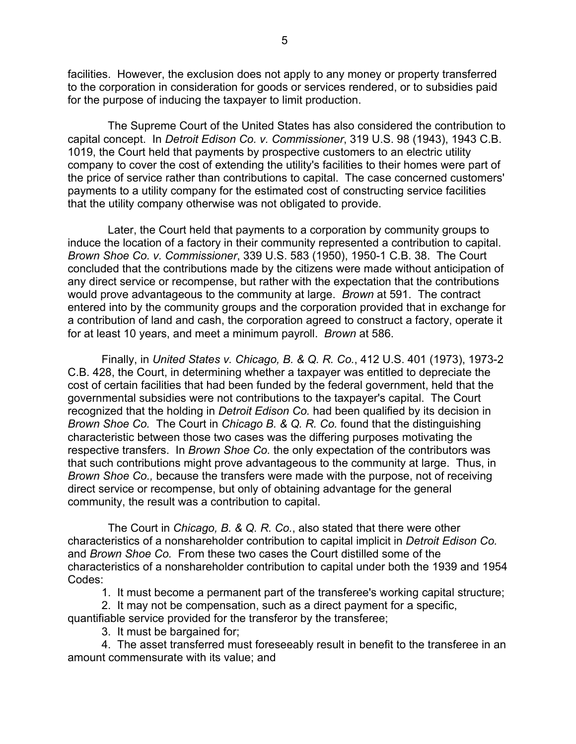facilities. However, the exclusion does not apply to any money or property transferred to the corporation in consideration for goods or services rendered, or to subsidies paid for the purpose of inducing the taxpayer to limit production.

 The Supreme Court of the United States has also considered the contribution to capital concept. In *Detroit Edison Co. v. Commissioner*, 319 U.S. 98 (1943), 1943 C.B. 1019, the Court held that payments by prospective customers to an electric utility company to cover the cost of extending the utility's facilities to their homes were part of the price of service rather than contributions to capital. The case concerned customers' payments to a utility company for the estimated cost of constructing service facilities that the utility company otherwise was not obligated to provide.

 Later, the Court held that payments to a corporation by community groups to induce the location of a factory in their community represented a contribution to capital. *Brown Shoe Co. v. Commissioner*, 339 U.S. 583 (1950), 1950-1 C.B. 38. The Court concluded that the contributions made by the citizens were made without anticipation of any direct service or recompense, but rather with the expectation that the contributions would prove advantageous to the community at large. *Brown* at 591. The contract entered into by the community groups and the corporation provided that in exchange for a contribution of land and cash, the corporation agreed to construct a factory, operate it for at least 10 years, and meet a minimum payroll. *Brown* at 586.

 Finally, in *United States v. Chicago, B. & Q. R. Co.*, 412 U.S. 401 (1973), 1973-2 C.B. 428, the Court, in determining whether a taxpayer was entitled to depreciate the cost of certain facilities that had been funded by the federal government, held that the governmental subsidies were not contributions to the taxpayer's capital. The Court recognized that the holding in *Detroit Edison Co.* had been qualified by its decision in *Brown Shoe Co.* The Court in *Chicago B. & Q. R. Co.* found that the distinguishing characteristic between those two cases was the differing purposes motivating the respective transfers. In *Brown Shoe Co.* the only expectation of the contributors was that such contributions might prove advantageous to the community at large. Thus, in *Brown Shoe Co.,* because the transfers were made with the purpose, not of receiving direct service or recompense, but only of obtaining advantage for the general community, the result was a contribution to capital.

 The Court in *Chicago, B. & Q. R. Co.*, also stated that there were other characteristics of a nonshareholder contribution to capital implicit in *Detroit Edison Co.*  and *Brown Shoe Co.* From these two cases the Court distilled some of the characteristics of a nonshareholder contribution to capital under both the 1939 and 1954 Codes:

1. It must become a permanent part of the transferee's working capital structure;

2. It may not be compensation, such as a direct payment for a specific,

quantifiable service provided for the transferor by the transferee;

3. It must be bargained for;

4. The asset transferred must foreseeably result in benefit to the transferee in an amount commensurate with its value; and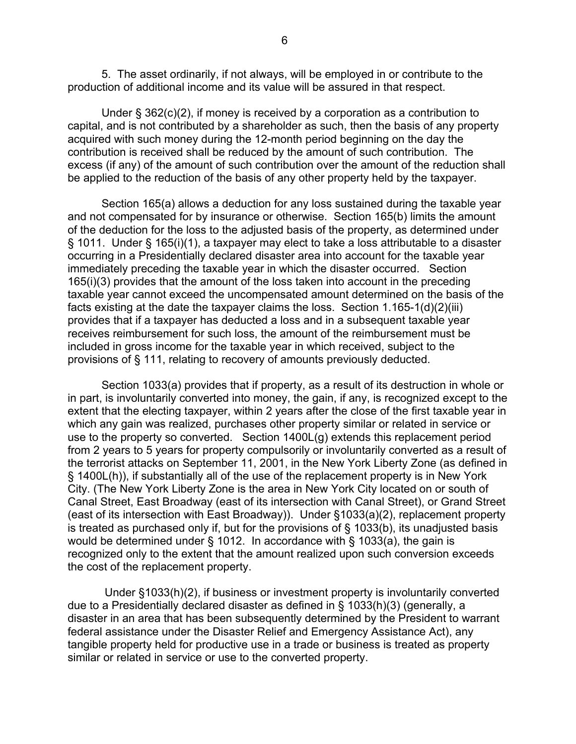5. The asset ordinarily, if not always, will be employed in or contribute to the production of additional income and its value will be assured in that respect.

Under § 362(c)(2), if money is received by a corporation as a contribution to capital, and is not contributed by a shareholder as such, then the basis of any property acquired with such money during the 12-month period beginning on the day the contribution is received shall be reduced by the amount of such contribution. The excess (if any) of the amount of such contribution over the amount of the reduction shall be applied to the reduction of the basis of any other property held by the taxpayer.

Section 165(a) allows a deduction for any loss sustained during the taxable year and not compensated for by insurance or otherwise. Section 165(b) limits the amount of the deduction for the loss to the adjusted basis of the property, as determined under § 1011. Under § 165(i)(1), a taxpayer may elect to take a loss attributable to a disaster occurring in a Presidentially declared disaster area into account for the taxable year immediately preceding the taxable year in which the disaster occurred. Section 165(i)(3) provides that the amount of the loss taken into account in the preceding taxable year cannot exceed the uncompensated amount determined on the basis of the facts existing at the date the taxpayer claims the loss. Section 1.165-1(d)(2)(iii) provides that if a taxpayer has deducted a loss and in a subsequent taxable year receives reimbursement for such loss, the amount of the reimbursement must be included in gross income for the taxable year in which received, subject to the provisions of § 111, relating to recovery of amounts previously deducted.

Section 1033(a) provides that if property, as a result of its destruction in whole or in part, is involuntarily converted into money, the gain, if any, is recognized except to the extent that the electing taxpayer, within 2 years after the close of the first taxable year in which any gain was realized, purchases other property similar or related in service or use to the property so converted. Section 1400L(g) extends this replacement period from 2 years to 5 years for property compulsorily or involuntarily converted as a result of the terrorist attacks on September 11, 2001, in the New York Liberty Zone (as defined in § 1400L(h)), if substantially all of the use of the replacement property is in New York City. (The New York Liberty Zone is the area in New York City located on or south of Canal Street, East Broadway (east of its intersection with Canal Street), or Grand Street (east of its intersection with East Broadway)). Under §1033(a)(2), replacement property is treated as purchased only if, but for the provisions of § 1033(b), its unadjusted basis would be determined under § 1012. In accordance with § 1033(a), the gain is recognized only to the extent that the amount realized upon such conversion exceeds the cost of the replacement property.

 Under §1033(h)(2), if business or investment property is involuntarily converted due to a Presidentially declared disaster as defined in § 1033(h)(3) (generally, a disaster in an area that has been subsequently determined by the President to warrant federal assistance under the Disaster Relief and Emergency Assistance Act), any tangible property held for productive use in a trade or business is treated as property similar or related in service or use to the converted property.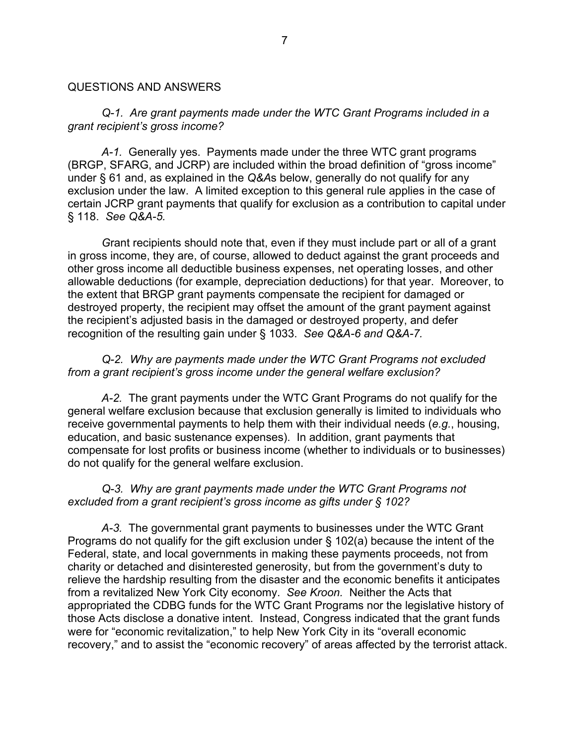#### QUESTIONS AND ANSWERS

#### *Q-1. Are grant payments made under the WTC Grant Programs included in a grant recipient's gross income?*

*A-1.* Generally yes. Payments made under the three WTC grant programs (BRGP, SFARG, and JCRP) are included within the broad definition of "gross income" under § 61 and, as explained in the *Q&A*s below, generally do not qualify for any exclusion under the law. A limited exception to this general rule applies in the case of certain JCRP grant payments that qualify for exclusion as a contribution to capital under § 118. *See Q&A-5.*

 *G*rant recipients should note that, even if they must include part or all of a grant in gross income, they are, of course, allowed to deduct against the grant proceeds and other gross income all deductible business expenses, net operating losses, and other allowable deductions (for example, depreciation deductions) for that year. Moreover, to the extent that BRGP grant payments compensate the recipient for damaged or destroyed property, the recipient may offset the amount of the grant payment against the recipient's adjusted basis in the damaged or destroyed property, and defer recognition of the resulting gain under § 1033. *See Q&A-6 and Q&A-7.*

#### *Q-2. Why are payments made under the WTC Grant Programs not excluded from a grant recipient's gross income under the general welfare exclusion?*

*A-2.* The grant payments under the WTC Grant Programs do not qualify for the general welfare exclusion because that exclusion generally is limited to individuals who receive governmental payments to help them with their individual needs (*e.g.*, housing, education, and basic sustenance expenses). In addition, grant payments that compensate for lost profits or business income (whether to individuals or to businesses) do not qualify for the general welfare exclusion.

#### *Q-3. Why are grant payments made under the WTC Grant Programs not excluded from a grant recipient's gross income as gifts under § 102?*

*A-3.* The governmental grant payments to businesses under the WTC Grant Programs do not qualify for the gift exclusion under § 102(a) because the intent of the Federal, state, and local governments in making these payments proceeds, not from charity or detached and disinterested generosity, but from the government's duty to relieve the hardship resulting from the disaster and the economic benefits it anticipates from a revitalized New York City economy. *See Kroon.* Neither the Acts that appropriated the CDBG funds for the WTC Grant Programs nor the legislative history of those Acts disclose a donative intent. Instead, Congress indicated that the grant funds were for "economic revitalization," to help New York City in its "overall economic recovery," and to assist the "economic recovery" of areas affected by the terrorist attack.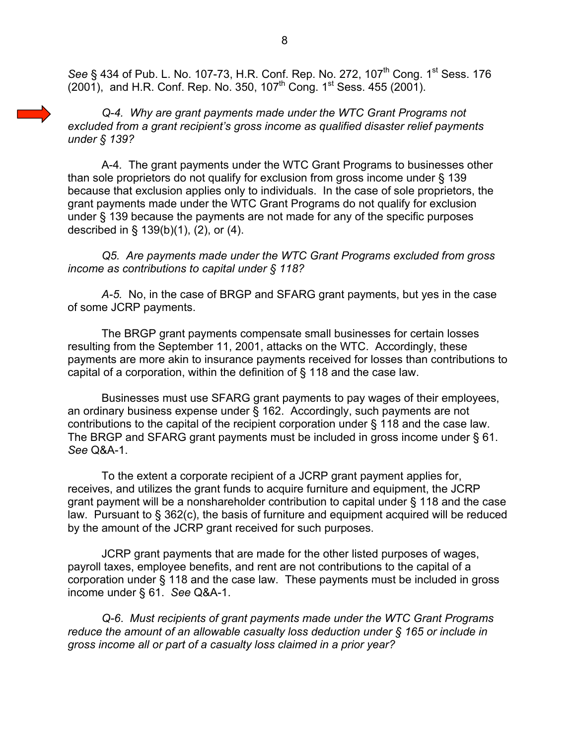*See* § 434 of Pub. L. No. 107-73, H.R. Conf. Rep. No. 272, 107<sup>th</sup> Cong. 1<sup>st</sup> Sess. 176  $(2001)$ , and H.R. Conf. Rep. No. 350, 107<sup>th</sup> Cong. 1<sup>st</sup> Sess. 455 (2001).

*Q-4. Why are grant payments made under the WTC Grant Programs not excluded from a grant recipient's gross income as qualified disaster relief payments under § 139?*

A-4*.* The grant payments under the WTC Grant Programs to businesses other than sole proprietors do not qualify for exclusion from gross income under § 139 because that exclusion applies only to individuals. In the case of sole proprietors, the grant payments made under the WTC Grant Programs do not qualify for exclusion under § 139 because the payments are not made for any of the specific purposes described in § 139(b)(1), (2), or (4).

*Q5. Are payments made under the WTC Grant Programs excluded from gross income as contributions to capital under § 118?* 

*A-5.* No, in the case of BRGP and SFARG grant payments, but yes in the case of some JCRP payments.

The BRGP grant payments compensate small businesses for certain losses resulting from the September 11, 2001, attacks on the WTC. Accordingly, these payments are more akin to insurance payments received for losses than contributions to capital of a corporation, within the definition of § 118 and the case law.

Businesses must use SFARG grant payments to pay wages of their employees, an ordinary business expense under § 162. Accordingly, such payments are not contributions to the capital of the recipient corporation under § 118 and the case law. The BRGP and SFARG grant payments must be included in gross income under § 61. *See* Q&A-1.

To the extent a corporate recipient of a JCRP grant payment applies for, receives, and utilizes the grant funds to acquire furniture and equipment, the JCRP grant payment will be a nonshareholder contribution to capital under § 118 and the case law. Pursuant to § 362(c), the basis of furniture and equipment acquired will be reduced by the amount of the JCRP grant received for such purposes.

JCRP grant payments that are made for the other listed purposes of wages, payroll taxes, employee benefits, and rent are not contributions to the capital of a corporation under § 118 and the case law. These payments must be included in gross income under § 61. *See* Q&A-1.

*Q-6*. *Must recipients of grant payments made under the WTC Grant Programs reduce the amount of an allowable casualty loss deduction under § 165 or include in gross income all or part of a casualty loss claimed in a prior year?*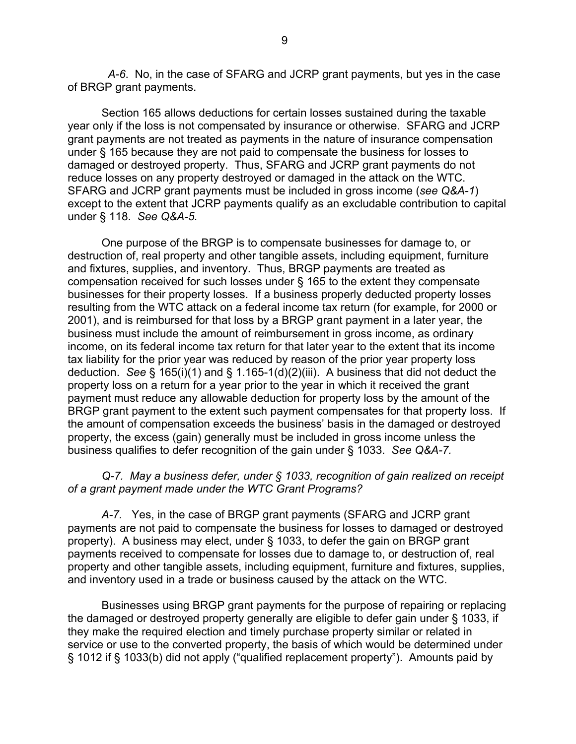*A-6*. No, in the case of SFARG and JCRP grant payments, but yes in the case of BRGP grant payments.

 Section 165 allows deductions for certain losses sustained during the taxable year only if the loss is not compensated by insurance or otherwise. SFARG and JCRP grant payments are not treated as payments in the nature of insurance compensation under § 165 because they are not paid to compensate the business for losses to damaged or destroyed property. Thus, SFARG and JCRP grant payments do not reduce losses on any property destroyed or damaged in the attack on the WTC. SFARG and JCRP grant payments must be included in gross income (*see Q&A-1*) except to the extent that JCRP payments qualify as an excludable contribution to capital under § 118. *See Q&A-5.*

 One purpose of the BRGP is to compensate businesses for damage to, or destruction of, real property and other tangible assets, including equipment, furniture and fixtures, supplies, and inventory. Thus, BRGP payments are treated as compensation received for such losses under § 165 to the extent they compensate businesses for their property losses. If a business properly deducted property losses resulting from the WTC attack on a federal income tax return (for example, for 2000 or 2001), and is reimbursed for that loss by a BRGP grant payment in a later year, the business must include the amount of reimbursement in gross income, as ordinary income, on its federal income tax return for that later year to the extent that its income tax liability for the prior year was reduced by reason of the prior year property loss deduction. *See* § 165(i)(1) and § 1.165-1(d)(2)(iii). A business that did not deduct the property loss on a return for a year prior to the year in which it received the grant payment must reduce any allowable deduction for property loss by the amount of the BRGP grant payment to the extent such payment compensates for that property loss. If the amount of compensation exceeds the business' basis in the damaged or destroyed property, the excess (gain) generally must be included in gross income unless the business qualifies to defer recognition of the gain under § 1033. *See Q&A-7.* 

## *Q-7. May a business defer, under § 1033, recognition of gain realized on receipt of a grant payment made under the WTC Grant Programs?*

*A-7.* Yes, in the case of BRGP grant payments (SFARG and JCRP grant payments are not paid to compensate the business for losses to damaged or destroyed property). A business may elect, under § 1033, to defer the gain on BRGP grant payments received to compensate for losses due to damage to, or destruction of, real property and other tangible assets, including equipment, furniture and fixtures, supplies, and inventory used in a trade or business caused by the attack on the WTC.

 Businesses using BRGP grant payments for the purpose of repairing or replacing the damaged or destroyed property generally are eligible to defer gain under § 1033, if they make the required election and timely purchase property similar or related in service or use to the converted property, the basis of which would be determined under § 1012 if § 1033(b) did not apply ("qualified replacement property"). Amounts paid by